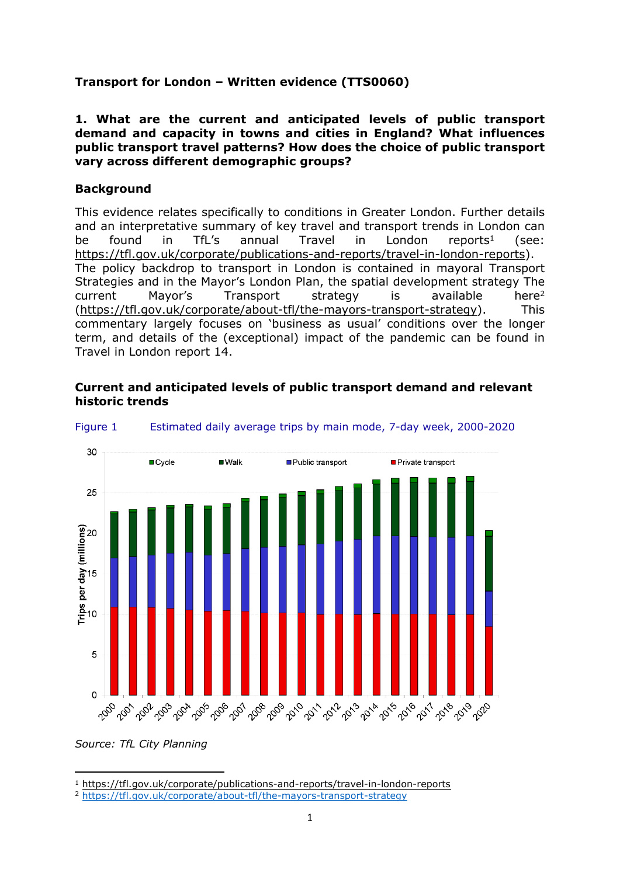# **Transport for London – Written evidence (TTS0060)**

#### **1. What are the current and anticipated levels of public transport demand and capacity in towns and cities in England? What influences public transport travel patterns? How does the choice of public transport vary across different demographic groups?**

# **Background**

This evidence relates specifically to conditions in Greater London. Further details and an interpretative summary of key travel and transport trends in London can be found in TfL's annual Travel in London reports<sup>1</sup> (see: [https://tfl.gov.uk/corporate/publications-and-reports/travel-in-london-reports\)](https://tfl.gov.uk/corporate/publications-and-reports/travel-in-london-reports). The policy backdrop to transport in London is contained in mayoral Transport Strategies and in the Mayor's London Plan, the spatial development strategy The current Mayor's Transport strategy is available here<sup>2</sup> ([https://tfl.gov.uk/corporate/about-tfl/the-mayors-transport-strategy\)](https://tfl.gov.uk/corporate/about-tfl/the-mayors-transport-strategy). This commentary largely focuses on 'business as usual' conditions over the longer term, and details of the (exceptional) impact of the pandemic can be found in Travel in London report 14.

#### **Current and anticipated levels of public transport demand and relevant historic trends**



#### Figure 1 Estimated daily average trips by main mode, 7-day week, 2000-2020

*Source: TfL City Planning*

<sup>1</sup> <https://tfl.gov.uk/corporate/publications-and-reports/travel-in-london-reports>

<sup>2</sup> <https://tfl.gov.uk/corporate/about-tfl/the-mayors-transport-strategy>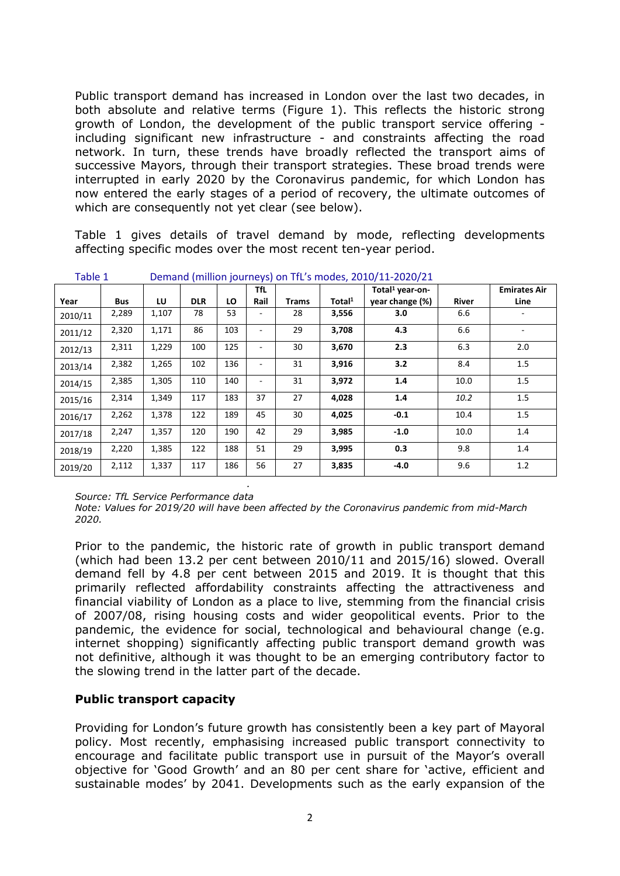Public transport demand has increased in London over the last two decades, in both absolute and relative terms (Figure 1). This reflects the historic strong growth of London, the development of the public transport service offering including significant new infrastructure - and constraints affecting the road network. In turn, these trends have broadly reflected the transport aims of successive Mayors, through their transport strategies. These broad trends were interrupted in early 2020 by the Coronavirus pandemic, for which London has now entered the early stages of a period of recovery, the ultimate outcomes of which are consequently not yet clear (see below).

Table 1 gives details of travel demand by mode, reflecting developments affecting specific modes over the most recent ten-year period.

|         | $\frac{1}{2}$ |       |            |     |                          |              |           |                             |       |                     |
|---------|---------------|-------|------------|-----|--------------------------|--------------|-----------|-----------------------------|-------|---------------------|
|         |               |       |            |     | TfL                      |              |           | Total <sup>1</sup> year-on- |       | <b>Emirates Air</b> |
| Year    | <b>Bus</b>    | LU    | <b>DLR</b> | LO  | Rail                     | <b>Trams</b> | Total $1$ | year change (%)             | River | Line                |
| 2010/11 | 2,289         | 1,107 | 78         | 53  |                          | 28           | 3,556     | 3.0                         | 6.6   |                     |
| 2011/12 | 2,320         | 1,171 | 86         | 103 |                          | 29           | 3,708     | 4.3                         | 6.6   |                     |
| 2012/13 | 2,311         | 1,229 | 100        | 125 |                          | 30           | 3,670     | 2.3                         | 6.3   | 2.0                 |
| 2013/14 | 2,382         | 1,265 | 102        | 136 |                          | 31           | 3,916     | 3.2                         | 8.4   | 1.5                 |
| 2014/15 | 2,385         | 1,305 | 110        | 140 | $\overline{\phantom{0}}$ | 31           | 3,972     | 1.4                         | 10.0  | 1.5                 |
| 2015/16 | 2,314         | 1,349 | 117        | 183 | 37                       | 27           | 4,028     | 1.4                         | 10.2  | 1.5                 |
| 2016/17 | 2,262         | 1,378 | 122        | 189 | 45                       | 30           | 4,025     | $-0.1$                      | 10.4  | 1.5                 |
| 2017/18 | 2,247         | 1,357 | 120        | 190 | 42                       | 29           | 3,985     | $-1.0$                      | 10.0  | 1.4                 |
| 2018/19 | 2,220         | 1,385 | 122        | 188 | 51                       | 29           | 3,995     | 0.3                         | 9.8   | 1.4                 |
| 2019/20 | 2,112         | 1,337 | 117        | 186 | 56                       | 27           | 3,835     | $-4.0$                      | 9.6   | 1.2                 |

Table 1 Demand (million journeys) on TfL's modes, 2010/11-2020/21

*Source: TfL Service Performance data. Source: TfL Service Performance data*

*Note: Values for 2019/20 will have been affected by the Coronavirus pandemic from mid-March 2020.*

Prior to the pandemic, the historic rate of growth in public transport demand (which had been 13.2 per cent between 2010/11 and 2015/16) slowed. Overall demand fell by 4.8 per cent between 2015 and 2019. It is thought that this primarily reflected affordability constraints affecting the attractiveness and financial viability of London as a place to live, stemming from the financial crisis of 2007/08, rising housing costs and wider geopolitical events. Prior to the pandemic, the evidence for social, technological and behavioural change (e.g. internet shopping) significantly affecting public transport demand growth was not definitive, although it was thought to be an emerging contributory factor to the slowing trend in the latter part of the decade.

# **Public transport capacity**

Providing for London's future growth has consistently been a key part of Mayoral policy. Most recently, emphasising increased public transport connectivity to encourage and facilitate public transport use in pursuit of the Mayor's overall objective for 'Good Growth' and an 80 per cent share for 'active, efficient and sustainable modes' by 2041. Developments such as the early expansion of the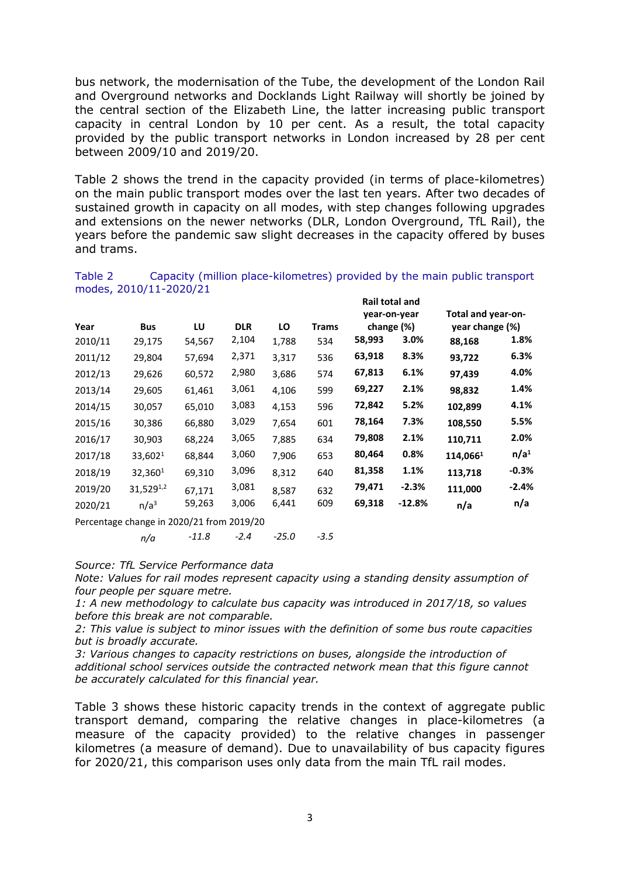bus network, the modernisation of the Tube, the development of the London Rail and Overground networks and Docklands Light Railway will shortly be joined by the central section of the Elizabeth Line, the latter increasing public transport capacity in central London by 10 per cent. As a result, the total capacity provided by the public transport networks in London increased by 28 per cent between 2009/10 and 2019/20.

Table 2 shows the trend in the capacity provided (in terms of place-kilometres) on the main public transport modes over the last ten years. After two decades of sustained growth in capacity on all modes, with step changes following upgrades and extensions on the newer networks (DLR, London Overground, TfL Rail), the years before the pandemic saw slight decreases in the capacity offered by buses and trams.

|         |                                           |        |            |       |              |        | Rail total and |                    |                  |
|---------|-------------------------------------------|--------|------------|-------|--------------|--------|----------------|--------------------|------------------|
|         |                                           |        |            |       |              |        | year-on-year   | Total and year-on- |                  |
| Year    | <b>Bus</b>                                | LU     | <b>DLR</b> | LO    | <b>Trams</b> |        | change (%)     | year change (%)    |                  |
| 2010/11 | 29,175                                    | 54,567 | 2,104      | 1,788 | 534          | 58,993 | 3.0%           | 88,168             | 1.8%             |
| 2011/12 | 29,804                                    | 57,694 | 2,371      | 3,317 | 536          | 63,918 | 8.3%           | 93,722             | 6.3%             |
| 2012/13 | 29,626                                    | 60,572 | 2,980      | 3,686 | 574          | 67,813 | 6.1%           | 97,439             | 4.0%             |
| 2013/14 | 29,605                                    | 61,461 | 3,061      | 4,106 | 599          | 69,227 | 2.1%           | 98,832             | 1.4%             |
| 2014/15 | 30,057                                    | 65,010 | 3,083      | 4,153 | 596          | 72,842 | 5.2%           | 102,899            | 4.1%             |
| 2015/16 | 30,386                                    | 66,880 | 3,029      | 7,654 | 601          | 78,164 | 7.3%           | 108,550            | 5.5%             |
| 2016/17 | 30,903                                    | 68,224 | 3,065      | 7,885 | 634          | 79,808 | 2.1%           | 110,711            | 2.0%             |
| 2017/18 | 33,6021                                   | 68,844 | 3,060      | 7,906 | 653          | 80,464 | 0.8%           | 114,0661           | n/a <sup>1</sup> |
| 2018/19 | 32,3601                                   | 69,310 | 3,096      | 8,312 | 640          | 81,358 | 1.1%           | 113,718            | $-0.3%$          |
| 2019/20 | $31,529^{1,2}$                            | 67,171 | 3,081      | 8,587 | 632          | 79,471 | $-2.3%$        | 111,000            | $-2.4%$          |
| 2020/21 | n/a <sup>3</sup>                          | 59,263 | 3,006      | 6,441 | 609          | 69,318 | $-12.8%$       | n/a                | n/a              |
|         | Percentage change in 2020/21 from 2019/20 |        |            |       |              |        |                |                    |                  |

Table 2 Capacity (million place-kilometres) provided by the main public transport modes, 2010/11-2020/21

*n/a -11.8 -2.4 -25.0 -3.5*

*Source: TfL Service Performance data*

*Note: Values for rail modes represent capacity using a standing density assumption of four people per square metre.*

*1: A new methodology to calculate bus capacity was introduced in 2017/18, so values before this break are not comparable.*

*2: This value is subject to minor issues with the definition of some bus route capacities but is broadly accurate.*

*3: Various changes to capacity restrictions on buses, alongside the introduction of additional school services outside the contracted network mean that this figure cannot be accurately calculated for this financial year.*

Table 3 shows these historic capacity trends in the context of aggregate public transport demand, comparing the relative changes in place-kilometres (a measure of the capacity provided) to the relative changes in passenger kilometres (a measure of demand). Due to unavailability of bus capacity figures for 2020/21, this comparison uses only data from the main TfL rail modes.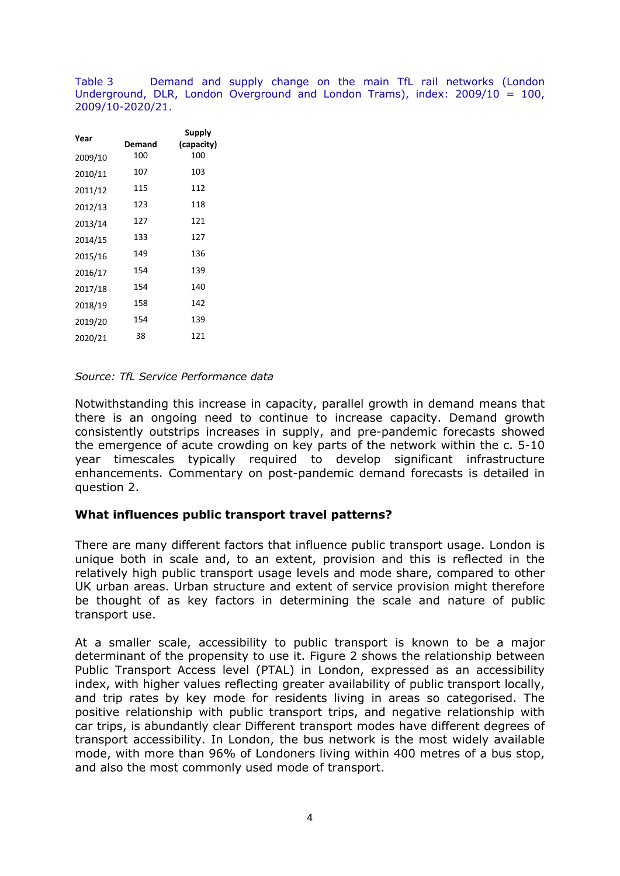Table 3 Demand and supply change on the main TfL rail networks (London Underground, DLR, London Overground and London Trams), index: 2009/10 = 100, 2009/10-2020/21.

| Year    | Demand | Supply<br>(capacity) |
|---------|--------|----------------------|
| 2009/10 | 100    | 100                  |
| 2010/11 | 107    | 103                  |
| 2011/12 | 115    | 112                  |
| 2012/13 | 123    | 118                  |
| 2013/14 | 127    | 121                  |
| 2014/15 | 133    | 127                  |
| 2015/16 | 149    | 136                  |
| 2016/17 | 154    | 139                  |
| 2017/18 | 154    | 140                  |
| 2018/19 | 158    | 142                  |
| 2019/20 | 154    | 139                  |
| 2020/21 | 38     | 121                  |
|         |        |                      |

#### *Source: TfL Service Performance data*

Notwithstanding this increase in capacity, parallel growth in demand means that there is an ongoing need to continue to increase capacity. Demand growth consistently outstrips increases in supply, and pre-pandemic forecasts showed the emergence of acute crowding on key parts of the network within the c. 5-10 year timescales typically required to develop significant infrastructure enhancements. Commentary on post-pandemic demand forecasts is detailed in question 2.

#### **What influences public transport travel patterns?**

There are many different factors that influence public transport usage. London is unique both in scale and, to an extent, provision and this is reflected in the relatively high public transport usage levels and mode share, compared to other UK urban areas. Urban structure and extent of service provision might therefore be thought of as key factors in determining the scale and nature of public transport use.

At a smaller scale, accessibility to public transport is known to be a major determinant of the propensity to use it. Figure 2 shows the relationship between Public Transport Access level (PTAL) in London, expressed as an accessibility index, with higher values reflecting greater availability of public transport locally, and trip rates by key mode for residents living in areas so categorised. The positive relationship with public transport trips, and negative relationship with car trips, is abundantly clear Different transport modes have different degrees of transport accessibility. In London, the bus network is the most widely available mode, with more than 96% of Londoners living within 400 metres of a bus stop, and also the most commonly used mode of transport.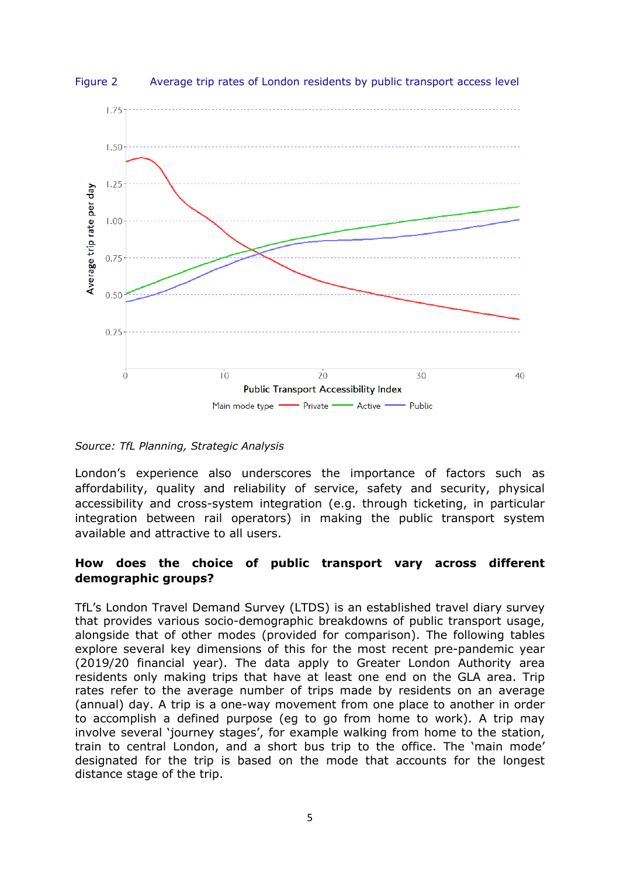



*Source: TfL Planning, Strategic Analysis*

London's experience also underscores the importance of factors such as affordability, quality and reliability of service, safety and security, physical accessibility and cross-system integration (e.g. through ticketing, in particular integration between rail operators) in making the public transport system available and attractive to all users.

# **How does the choice of public transport vary across different demographic groups?**

TfL's London Travel Demand Survey (LTDS) is an established travel diary survey that provides various socio-demographic breakdowns of public transport usage, alongside that of other modes (provided for comparison). The following tables explore several key dimensions of this for the most recent pre-pandemic year (2019/20 financial year). The data apply to Greater London Authority area residents only making trips that have at least one end on the GLA area. Trip rates refer to the average number of trips made by residents on an average (annual) day. A trip is a one-way movement from one place to another in order to accomplish a defined purpose (eg to go from home to work). A trip may involve several 'journey stages', for example walking from home to the station, train to central London, and a short bus trip to the office. The 'main mode' designated for the trip is based on the mode that accounts for the longest distance stage of the trip.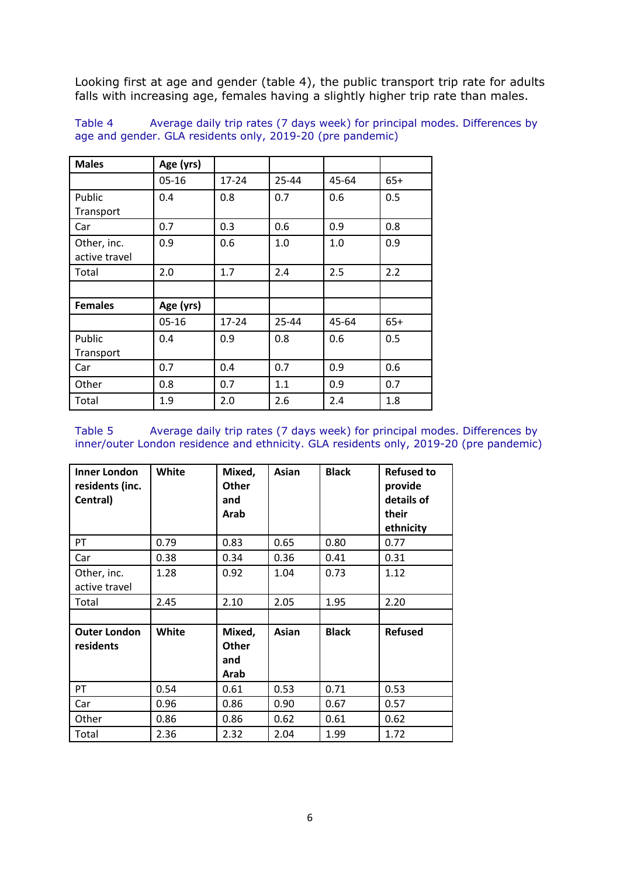Looking first at age and gender (table 4), the public transport trip rate for adults falls with increasing age, females having a slightly higher trip rate than males.

Table 4 Average daily trip rates (7 days week) for principal modes. Differences by age and gender. GLA residents only, 2019-20 (pre pandemic)

| <b>Males</b>   | Age (yrs) |           |       |       |       |
|----------------|-----------|-----------|-------|-------|-------|
|                | $05 - 16$ | $17 - 24$ | 25-44 | 45-64 | $65+$ |
| Public         | 0.4       | 0.8       | 0.7   | 0.6   | 0.5   |
| Transport      |           |           |       |       |       |
| Car            | 0.7       | 0.3       | 0.6   | 0.9   | 0.8   |
| Other, inc.    | 0.9       | 0.6       | 1.0   | 1.0   | 0.9   |
| active travel  |           |           |       |       |       |
| Total          | 2.0       | 1.7       | 2.4   | 2.5   | 2.2   |
|                |           |           |       |       |       |
| <b>Females</b> | Age (yrs) |           |       |       |       |
|                | $05 - 16$ | $17 - 24$ | 25-44 | 45-64 | $65+$ |
| Public         | 0.4       | 0.9       | 0.8   | 0.6   | 0.5   |
| Transport      |           |           |       |       |       |
| Car            | 0.7       | 0.4       | 0.7   | 0.9   | 0.6   |
| Other          | 0.8       | 0.7       | 1.1   | 0.9   | 0.7   |
| Total          | 1.9       | 2.0       | 2.6   | 2.4   | 1.8   |

Table 5 Average daily trip rates (7 days week) for principal modes. Differences by inner/outer London residence and ethnicity. GLA residents only, 2019-20 (pre pandemic)

| Inner London<br>residents (inc.<br>Central) | White | Mixed,<br>Other<br>and<br>Arab | Asian | <b>Black</b> | <b>Refused to</b><br>provide<br>details of<br>their<br>ethnicity |
|---------------------------------------------|-------|--------------------------------|-------|--------------|------------------------------------------------------------------|
| PT                                          | 0.79  | 0.83                           | 0.65  | 0.80         | 0.77                                                             |
| Car                                         | 0.38  | 0.34                           | 0.36  | 0.41         | 0.31                                                             |
| Other, inc.<br>active travel                | 1.28  | 0.92                           | 1.04  | 0.73         | 1.12                                                             |
| Total                                       | 2.45  | 2.10                           | 2.05  | 1.95         | 2.20                                                             |
|                                             |       |                                |       |              |                                                                  |
| <b>Outer London</b><br>residents            | White | Mixed,<br>Other<br>and<br>Arab | Asian | <b>Black</b> | <b>Refused</b>                                                   |
| PT                                          | 0.54  | 0.61                           | 0.53  | 0.71         | 0.53                                                             |
| Car                                         | 0.96  | 0.86                           | 0.90  | 0.67         | 0.57                                                             |
| Other                                       | 0.86  | 0.86                           | 0.62  | 0.61         | 0.62                                                             |
| Total                                       | 2.36  | 2.32                           | 2.04  | 1.99         | 1.72                                                             |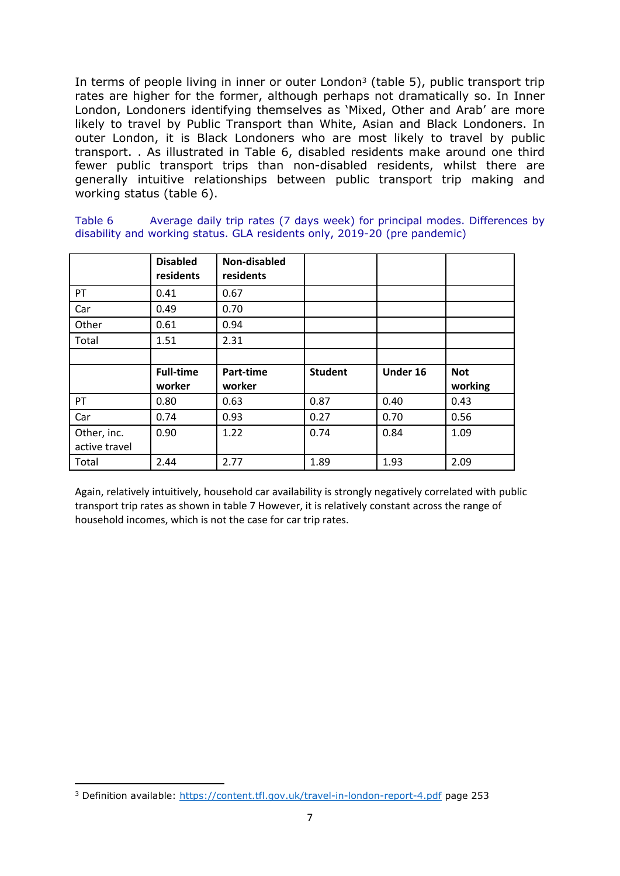In terms of people living in inner or outer London<sup>3</sup> (table 5), public transport trip rates are higher for the former, although perhaps not dramatically so. In Inner London, Londoners identifying themselves as 'Mixed, Other and Arab' are more likely to travel by Public Transport than White, Asian and Black Londoners. In outer London, it is Black Londoners who are most likely to travel by public transport. . As illustrated in Table 6, disabled residents make around one third fewer public transport trips than non-disabled residents, whilst there are generally intuitive relationships between public transport trip making and working status (table 6).

| Table 6 | Average daily trip rates (7 days week) for principal modes. Differences by |  |  |  |
|---------|----------------------------------------------------------------------------|--|--|--|
|         | disability and working status. GLA residents only, 2019-20 (pre pandemic)  |  |  |  |

|               | <b>Disabled</b><br>residents | Non-disabled<br>residents |                |          |                       |
|---------------|------------------------------|---------------------------|----------------|----------|-----------------------|
| PT            | 0.41                         | 0.67                      |                |          |                       |
| Car           | 0.49                         | 0.70                      |                |          |                       |
| Other         | 0.61                         | 0.94                      |                |          |                       |
| Total         | 1.51                         | 2.31                      |                |          |                       |
|               |                              |                           |                |          |                       |
|               | <b>Full-time</b><br>worker   | Part-time<br>worker       | <b>Student</b> | Under 16 | <b>Not</b><br>working |
| PT            | 0.80                         | 0.63                      | 0.87           | 0.40     | 0.43                  |
| Car           | 0.74                         | 0.93                      | 0.27           | 0.70     | 0.56                  |
| Other, inc.   | 0.90                         | 1.22                      | 0.74           | 0.84     | 1.09                  |
| active travel |                              |                           |                |          |                       |

Again, relatively intuitively, household car availability is strongly negatively correlated with public transport trip rates as shown in table 7 However, it is relatively constant across the range of household incomes, which is not the case for car trip rates.

<sup>3</sup> Definition available: <https://content.tfl.gov.uk/travel-in-london-report-4.pdf> page 253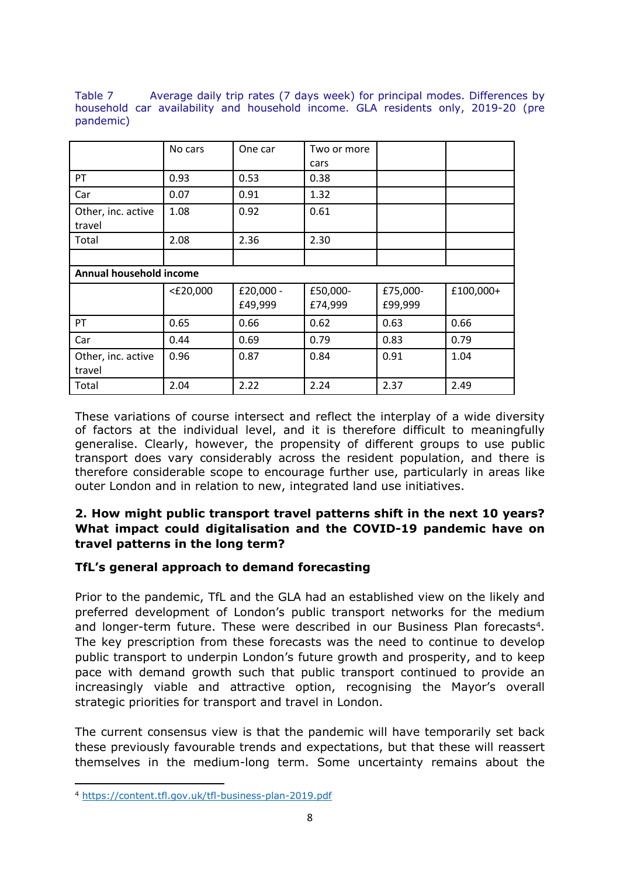Table 7 Average daily trip rates (7 days week) for principal modes. Differences by household car availability and household income. GLA residents only, 2019-20 (pre pandemic)

|                              | No cars     | One car   | Two or more |          |           |
|------------------------------|-------------|-----------|-------------|----------|-----------|
|                              |             |           | cars        |          |           |
| PT                           | 0.93        | 0.53      | 0.38        |          |           |
| Car                          | 0.07        | 0.91      | 1.32        |          |           |
| Other, inc. active<br>travel | 1.08        | 0.92      | 0.61        |          |           |
| Total                        | 2.08        | 2.36      | 2.30        |          |           |
|                              |             |           |             |          |           |
| Annual household income      |             |           |             |          |           |
|                              | $<$ £20,000 | £20,000 - | £50,000-    | £75,000- | £100,000+ |
|                              |             | £49,999   | £74,999     | £99,999  |           |
| PT                           | 0.65        | 0.66      | 0.62        | 0.63     | 0.66      |
| Car                          | 0.44        | 0.69      | 0.79        | 0.83     | 0.79      |
| Other, inc. active<br>travel | 0.96        | 0.87      | 0.84        | 0.91     | 1.04      |
| Total                        | 2.04        | 2.22      | 2.24        | 2.37     | 2.49      |

These variations of course intersect and reflect the interplay of a wide diversity of factors at the individual level, and it is therefore difficult to meaningfully generalise. Clearly, however, the propensity of different groups to use public transport does vary considerably across the resident population, and there is therefore considerable scope to encourage further use, particularly in areas like outer London and in relation to new, integrated land use initiatives.

# **2. How might public transport travel patterns shift in the next 10 years? What impact could digitalisation and the COVID-19 pandemic have on travel patterns in the long term?**

# **TfL's general approach to demand forecasting**

Prior to the pandemic, TfL and the GLA had an established view on the likely and preferred development of London's public transport networks for the medium and longer-term future. These were described in our Business Plan forecasts<sup>4</sup>. The key prescription from these forecasts was the need to continue to develop public transport to underpin London's future growth and prosperity, and to keep pace with demand growth such that public transport continued to provide an increasingly viable and attractive option, recognising the Mayor's overall strategic priorities for transport and travel in London.

The current consensus view is that the pandemic will have temporarily set back these previously favourable trends and expectations, but that these will reassert themselves in the medium-long term. Some uncertainty remains about the

<sup>4</sup> <https://content.tfl.gov.uk/tfl-business-plan-2019.pdf>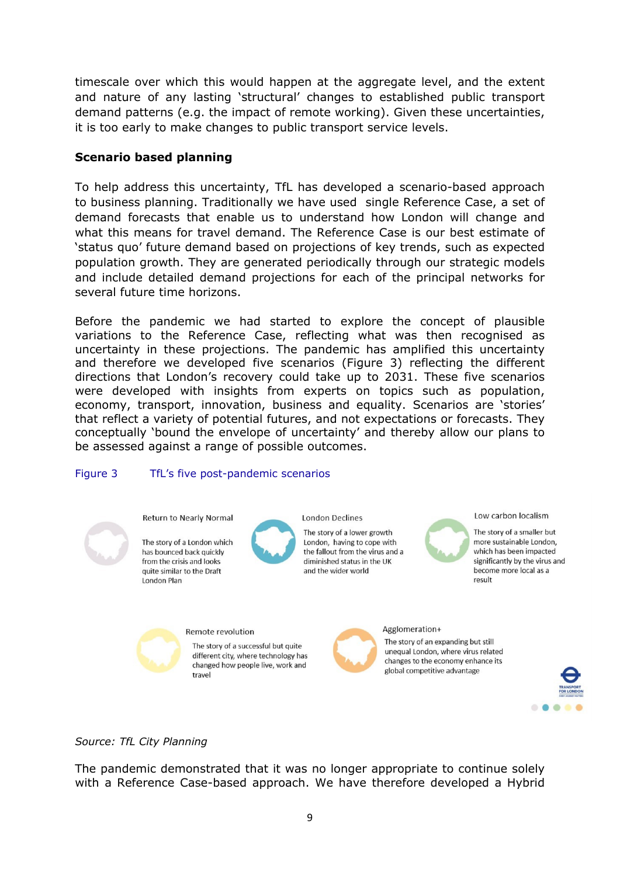timescale over which this would happen at the aggregate level, and the extent and nature of any lasting 'structural' changes to established public transport demand patterns (e.g. the impact of remote working). Given these uncertainties, it is too early to make changes to public transport service levels.

# **Scenario based planning**

To help address this uncertainty, TfL has developed a scenario-based approach to business planning. Traditionally we have used single Reference Case, a set of demand forecasts that enable us to understand how London will change and what this means for travel demand. The Reference Case is our best estimate of 'status quo' future demand based on projections of key trends, such as expected population growth. They are generated periodically through our strategic models and include detailed demand projections for each of the principal networks for several future time horizons.

Before the pandemic we had started to explore the concept of plausible variations to the Reference Case, reflecting what was then recognised as uncertainty in these projections. The pandemic has amplified this uncertainty and therefore we developed five scenarios (Figure 3) reflecting the different directions that London's recovery could take up to 2031. These five scenarios were developed with insights from experts on topics such as population, economy, transport, innovation, business and equality. Scenarios are 'stories' that reflect a variety of potential futures, and not expectations or forecasts. They conceptually 'bound the envelope of uncertainty' and thereby allow our plans to be assessed against a range of possible outcomes.

#### Figure 3 TfL's five post-pandemic scenarios



*Source: TfL City Planning*

The pandemic demonstrated that it was no longer appropriate to continue solely with a Reference Case-based approach. We have therefore developed a Hybrid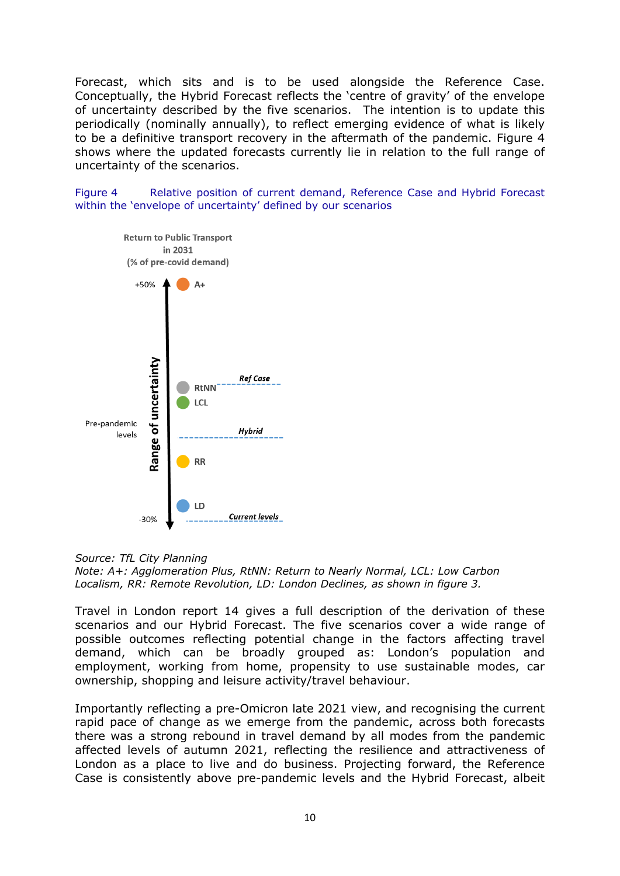Forecast, which sits and is to be used alongside the Reference Case. Conceptually, the Hybrid Forecast reflects the 'centre of gravity' of the envelope of uncertainty described by the five scenarios. The intention is to update this periodically (nominally annually), to reflect emerging evidence of what is likely to be a definitive transport recovery in the aftermath of the pandemic. Figure 4 shows where the updated forecasts currently lie in relation to the full range of uncertainty of the scenarios.

Figure 4 Relative position of current demand, Reference Case and Hybrid Forecast within the 'envelope of uncertainty' defined by our scenarios



#### *Source: TfL City Planning*

*Note: A+: Agglomeration Plus, RtNN: Return to Nearly Normal, LCL: Low Carbon Localism, RR: Remote Revolution, LD: London Declines, as shown in figure 3.*

Travel in London report 14 gives a full description of the derivation of these scenarios and our Hybrid Forecast. The five scenarios cover a wide range of possible outcomes reflecting potential change in the factors affecting travel demand, which can be broadly grouped as: London's population and employment, working from home, propensity to use sustainable modes, car ownership, shopping and leisure activity/travel behaviour.

Importantly reflecting a pre-Omicron late 2021 view, and recognising the current rapid pace of change as we emerge from the pandemic, across both forecasts there was a strong rebound in travel demand by all modes from the pandemic affected levels of autumn 2021, reflecting the resilience and attractiveness of London as a place to live and do business. Projecting forward, the Reference Case is consistently above pre-pandemic levels and the Hybrid Forecast, albeit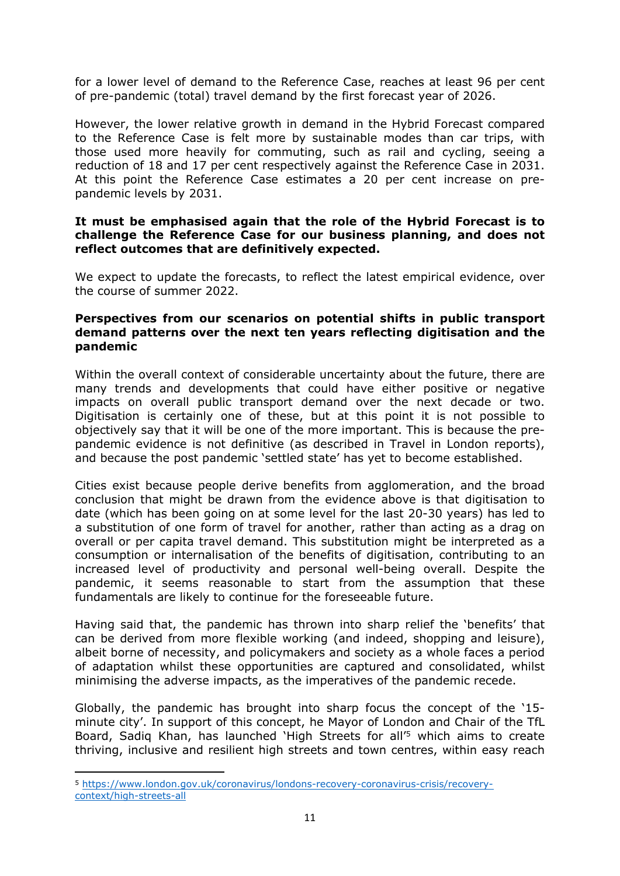for a lower level of demand to the Reference Case, reaches at least 96 per cent of pre-pandemic (total) travel demand by the first forecast year of 2026.

However, the lower relative growth in demand in the Hybrid Forecast compared to the Reference Case is felt more by sustainable modes than car trips, with those used more heavily for commuting, such as rail and cycling, seeing a reduction of 18 and 17 per cent respectively against the Reference Case in 2031. At this point the Reference Case estimates a 20 per cent increase on prepandemic levels by 2031.

### **It must be emphasised again that the role of the Hybrid Forecast is to challenge the Reference Case for our business planning, and does not reflect outcomes that are definitively expected.**

We expect to update the forecasts, to reflect the latest empirical evidence, over the course of summer 2022.

### **Perspectives from our scenarios on potential shifts in public transport demand patterns over the next ten years reflecting digitisation and the pandemic**

Within the overall context of considerable uncertainty about the future, there are many trends and developments that could have either positive or negative impacts on overall public transport demand over the next decade or two. Digitisation is certainly one of these, but at this point it is not possible to objectively say that it will be one of the more important. This is because the prepandemic evidence is not definitive (as described in Travel in London reports), and because the post pandemic 'settled state' has yet to become established.

Cities exist because people derive benefits from agglomeration, and the broad conclusion that might be drawn from the evidence above is that digitisation to date (which has been going on at some level for the last 20-30 years) has led to a substitution of one form of travel for another, rather than acting as a drag on overall or per capita travel demand. This substitution might be interpreted as a consumption or internalisation of the benefits of digitisation, contributing to an increased level of productivity and personal well-being overall. Despite the pandemic, it seems reasonable to start from the assumption that these fundamentals are likely to continue for the foreseeable future.

Having said that, the pandemic has thrown into sharp relief the 'benefits' that can be derived from more flexible working (and indeed, shopping and leisure), albeit borne of necessity, and policymakers and society as a whole faces a period of adaptation whilst these opportunities are captured and consolidated, whilst minimising the adverse impacts, as the imperatives of the pandemic recede.

Globally, the pandemic has brought into sharp focus the concept of the '15 minute city'. In support of this concept, he Mayor of London and Chair of the TfL Board, Sadig Khan, has launched 'High Streets for all<sup>'5</sup> which aims to create thriving, inclusive and resilient high streets and town centres, within easy reach

<sup>5</sup> [https://www.london.gov.uk/coronavirus/londons-recovery-coronavirus-crisis/recovery](https://www.london.gov.uk/coronavirus/londons-recovery-coronavirus-crisis/recovery-context/high-streets-all)[context/high-streets-all](https://www.london.gov.uk/coronavirus/londons-recovery-coronavirus-crisis/recovery-context/high-streets-all)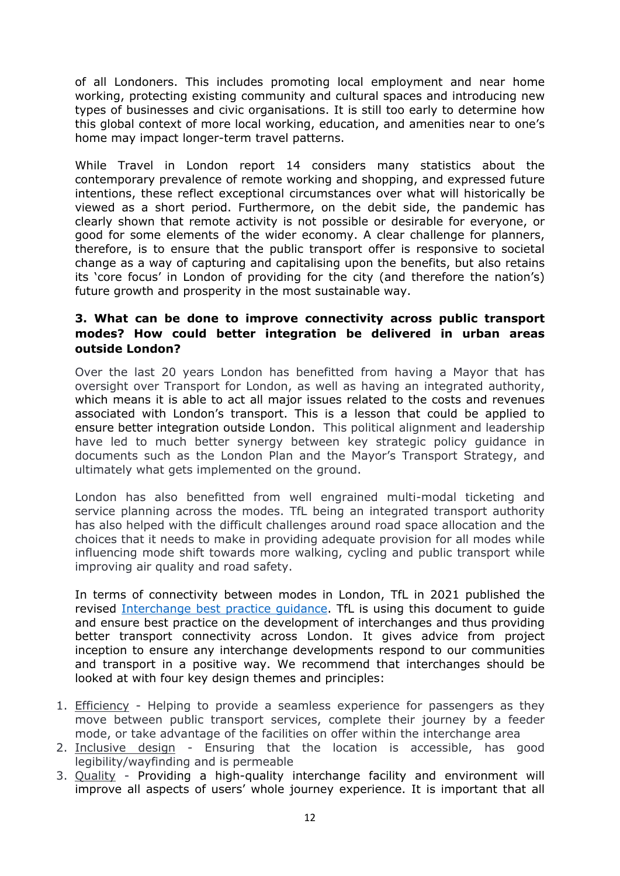of all Londoners. This includes promoting local employment and near home working, protecting existing community and cultural spaces and introducing new types of businesses and civic organisations. It is still too early to determine how this global context of more local working, education, and amenities near to one's home may impact longer-term travel patterns.

While Travel in London report 14 considers many statistics about the contemporary prevalence of remote working and shopping, and expressed future intentions, these reflect exceptional circumstances over what will historically be viewed as a short period. Furthermore, on the debit side, the pandemic has clearly shown that remote activity is not possible or desirable for everyone, or good for some elements of the wider economy. A clear challenge for planners, therefore, is to ensure that the public transport offer is responsive to societal change as a way of capturing and capitalising upon the benefits, but also retains its 'core focus' in London of providing for the city (and therefore the nation's) future growth and prosperity in the most sustainable way.

# **3. What can be done to improve connectivity across public transport modes? How could better integration be delivered in urban areas outside London?**

Over the last 20 years London has benefitted from having a Mayor that has oversight over Transport for London, as well as having an integrated authority, which means it is able to act all major issues related to the costs and revenues associated with London's transport. This is a lesson that could be applied to ensure better integration outside London. This political alignment and leadership have led to much better synergy between key strategic policy guidance in documents such as the London Plan and the Mayor's Transport Strategy, and ultimately what gets implemented on the ground.

London has also benefitted from well engrained multi-modal ticketing and service planning across the modes. TfL being an integrated transport authority has also helped with the difficult challenges around road space allocation and the choices that it needs to make in providing adequate provision for all modes while influencing mode shift towards more walking, cycling and public transport while improving air quality and road safety.

In terms of connectivity between modes in London, TfL in 2021 published the revised [Interchange](https://tfl.gov.uk/cdn/static/cms/documents/interchange-best-practice-guidance-2021.pdf) [best](https://tfl.gov.uk/cdn/static/cms/documents/interchange-best-practice-guidance-2021.pdf) [practice](https://tfl.gov.uk/cdn/static/cms/documents/interchange-best-practice-guidance-2021.pdf) [guidance.](https://tfl.gov.uk/cdn/static/cms/documents/interchange-best-practice-guidance-2021.pdf) TfL is using this document to guide and ensure best practice on the development of interchanges and thus providing better transport connectivity across London. It gives advice from project inception to ensure any interchange developments respond to our communities and transport in a positive way. We recommend that interchanges should be looked at with four key design themes and principles:

- 1. Efficiency Helping to provide a seamless experience for passengers as they move between public transport services, complete their journey by a feeder mode, or take advantage of the facilities on offer within the interchange area
- 2. Inclusive design Ensuring that the location is accessible, has good legibility/wayfinding and is permeable
- 3. Quality Providing a high-quality interchange facility and environment will improve all aspects of users' whole journey experience. It is important that all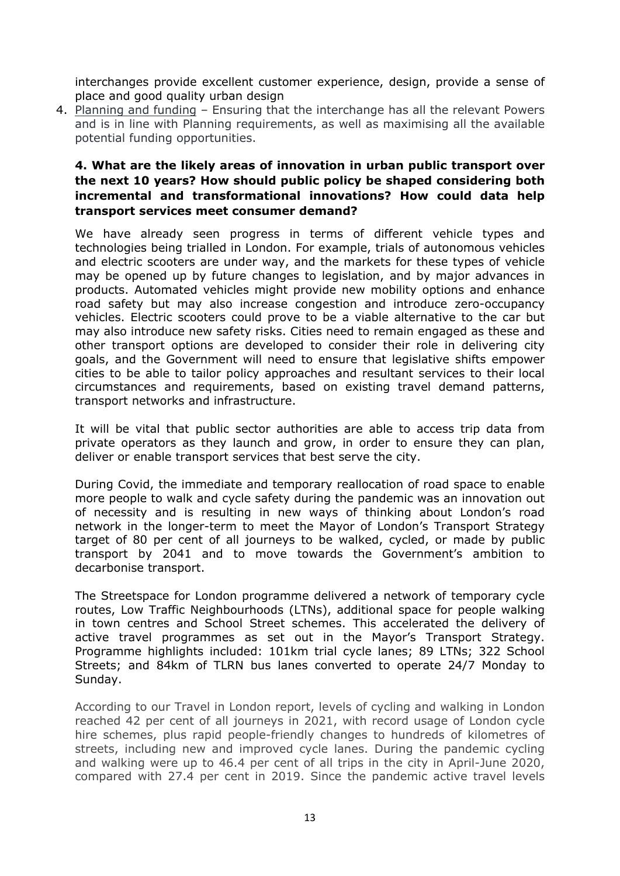interchanges provide excellent customer experience, design, provide a sense of place and good quality urban design

4. Planning and funding – Ensuring that the interchange has all the relevant Powers and is in line with Planning requirements, as well as maximising all the available potential funding opportunities.

# **4. What are the likely areas of innovation in urban public transport over the next 10 years? How should public policy be shaped considering both incremental and transformational innovations? How could data help transport services meet consumer demand?**

We have already seen progress in terms of different vehicle types and technologies being trialled in London. For example, trials of autonomous vehicles and electric scooters are under way, and the markets for these types of vehicle may be opened up by future changes to legislation, and by major advances in products. Automated vehicles might provide new mobility options and enhance road safety but may also increase congestion and introduce zero-occupancy vehicles. Electric scooters could prove to be a viable alternative to the car but may also introduce new safety risks. Cities need to remain engaged as these and other transport options are developed to consider their role in delivering city goals, and the Government will need to ensure that legislative shifts empower cities to be able to tailor policy approaches and resultant services to their local circumstances and requirements, based on existing travel demand patterns, transport networks and infrastructure.

It will be vital that public sector authorities are able to access trip data from private operators as they launch and grow, in order to ensure they can plan, deliver or enable transport services that best serve the city.

During Covid, the immediate and temporary reallocation of road space to enable more people to walk and cycle safety during the pandemic was an innovation out of necessity and is resulting in new ways of thinking about London's road network in the longer-term to meet the Mayor of London's Transport Strategy target of 80 per cent of all journeys to be walked, cycled, or made by public transport by 2041 and to move towards the Government's ambition to decarbonise transport.

The Streetspace for London programme delivered a network of temporary cycle routes, Low Traffic Neighbourhoods (LTNs), additional space for people walking in town centres and School Street schemes. This accelerated the delivery of active travel programmes as set out in the Mayor's Transport Strategy. Programme highlights included: 101km trial cycle lanes; 89 LTNs; 322 School Streets; and 84km of TLRN bus lanes converted to operate 24/7 Monday to Sunday.

According to our Travel in London report, levels of cycling and walking in London reached 42 per cent of all journeys in 2021, with record usage of London cycle hire schemes, plus rapid people-friendly changes to hundreds of kilometres of streets, including new and improved cycle lanes. During the pandemic cycling and walking were up to 46.4 per cent of all trips in the city in April-June 2020, compared with 27.4 per cent in 2019. Since the pandemic active travel levels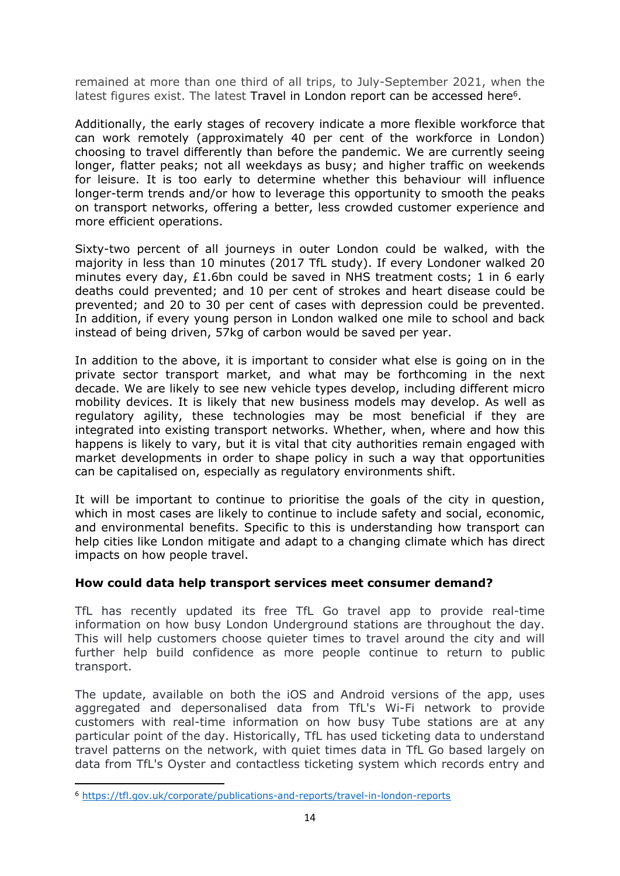remained at more than one third of all trips, to July-September 2021, when the latest figures exist. The latest Travel in London report can be accessed here<sup>6</sup>.

Additionally, the early stages of recovery indicate a more flexible workforce that can work remotely (approximately 40 per cent of the workforce in London) choosing to travel differently than before the pandemic. We are currently seeing longer, flatter peaks; not all weekdays as busy; and higher traffic on weekends for leisure. It is too early to determine whether this behaviour will influence longer-term trends and/or how to leverage this opportunity to smooth the peaks on transport networks, offering a better, less crowded customer experience and more efficient operations.

Sixty-two percent of all journeys in outer London could be walked, with the majority in less than 10 minutes (2017 TfL study). If every Londoner walked 20 minutes every day, £1.6bn could be saved in NHS treatment costs; 1 in 6 early deaths could prevented; and 10 per cent of strokes and heart disease could be prevented; and 20 to 30 per cent of cases with depression could be prevented. In addition, if every young person in London walked one mile to school and back instead of being driven, 57kg of carbon would be saved per year.

In addition to the above, it is important to consider what else is going on in the private sector transport market, and what may be forthcoming in the next decade. We are likely to see new vehicle types develop, including different micro mobility devices. It is likely that new business models may develop. As well as regulatory agility, these technologies may be most beneficial if they are integrated into existing transport networks. Whether, when, where and how this happens is likely to vary, but it is vital that city authorities remain engaged with market developments in order to shape policy in such a way that opportunities can be capitalised on, especially as regulatory environments shift.

It will be important to continue to prioritise the goals of the city in question, which in most cases are likely to continue to include safety and social, economic, and environmental benefits. Specific to this is understanding how transport can help cities like London mitigate and adapt to a changing climate which has direct impacts on how people travel.

# **How could data help transport services meet consumer demand?**

TfL has recently updated its free TfL Go travel app to provide real-time information on how busy London Underground stations are throughout the day. This will help customers choose quieter times to travel around the city and will further help build confidence as more people continue to return to public transport.

The update, available on both the iOS and Android versions of the app, uses aggregated and depersonalised data from TfL's Wi-Fi network to provide customers with real-time information on how busy Tube stations are at any particular point of the day. Historically, TfL has used ticketing data to understand travel patterns on the network, with quiet times data in TfL Go based largely on data from TfL's Oyster and contactless ticketing system which records entry and

<sup>6</sup> <https://tfl.gov.uk/corporate/publications-and-reports/travel-in-london-reports>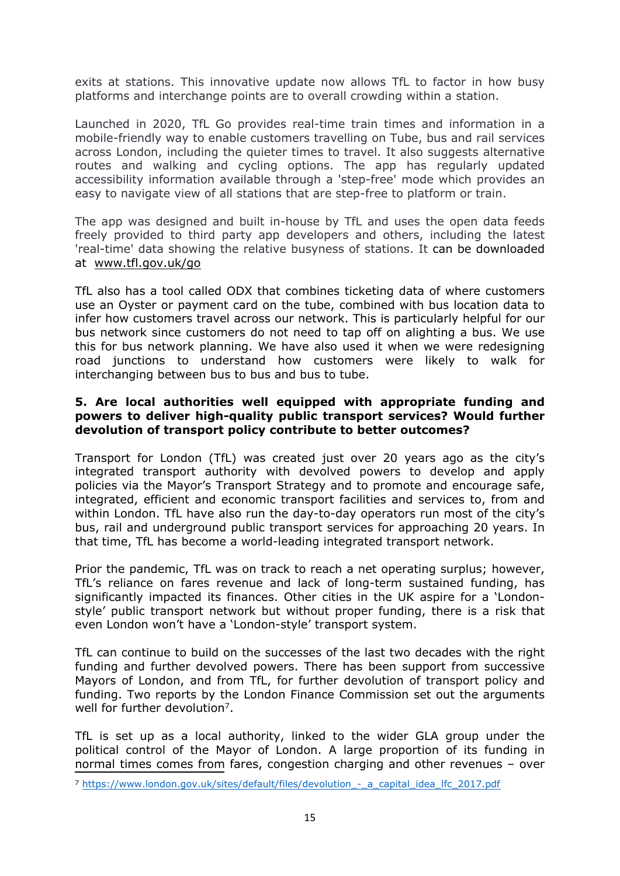exits at stations. This innovative update now allows TfL to factor in how busy platforms and interchange points are to overall crowding within a station.

Launched in 2020, TfL Go provides real-time train times and information in a mobile-friendly way to enable customers travelling on Tube, bus and rail services across London, including the quieter times to travel. It also suggests alternative routes and walking and cycling options. The app has regularly updated accessibility information available through a 'step-free' mode which provides an easy to navigate view of all stations that are step-free to platform or train.

The app was designed and built in-house by TfL and uses the open data feeds freely provided to third party app developers and others, including the latest 'real-time' data showing the relative busyness of stations. It can be downloaded at [www.tfl.gov.uk/go](https://tfl.gov.uk/info-for/media/press-releases/2021/june/%5bioID%5d#www.tfl.gov.uk/go)

TfL also has a tool called ODX that combines ticketing data of where customers use an Oyster or payment card on the tube, combined with bus location data to infer how customers travel across our network. This is particularly helpful for our bus network since customers do not need to tap off on alighting a bus. We use this for bus network planning. We have also used it when we were redesigning road junctions to understand how customers were likely to walk for interchanging between bus to bus and bus to tube.

### **5. Are local authorities well equipped with appropriate funding and powers to deliver high-quality public transport services? Would further devolution of transport policy contribute to better outcomes?**

Transport for London (TfL) was created just over 20 years ago as the city's integrated transport authority with devolved powers to develop and apply policies via the Mayor's Transport Strategy and to promote and encourage safe, integrated, efficient and economic transport facilities and services to, from and within London. TfL have also run the day-to-day operators run most of the city's bus, rail and underground public transport services for approaching 20 years. In that time, TfL has become a world-leading integrated transport network.

Prior the pandemic, TfL was on track to reach a net operating surplus; however, TfL's reliance on fares revenue and lack of long-term sustained funding, has significantly impacted its finances. Other cities in the UK aspire for a 'Londonstyle' public transport network but without proper funding, there is a risk that even London won't have a 'London-style' transport system.

TfL can continue to build on the successes of the last two decades with the right funding and further devolved powers. There has been support from successive Mayors of London, and from TfL, for further devolution of transport policy and funding. Two reports by the London Finance Commission set out the arguments well for further devolution<sup>7</sup>.

TfL is set up as a local authority, linked to the wider GLA group under the political control of the Mayor of London. A large proportion of its funding in normal times comes from fares, congestion charging and other revenues – over

<sup>7</sup> [https://www.london.gov.uk/sites/default/files/devolution\\_-\\_a\\_capital\\_idea\\_lfc\\_2017.pdf](https://www.london.gov.uk/sites/default/files/devolution_-_a_capital_idea_lfc_2017.pdf)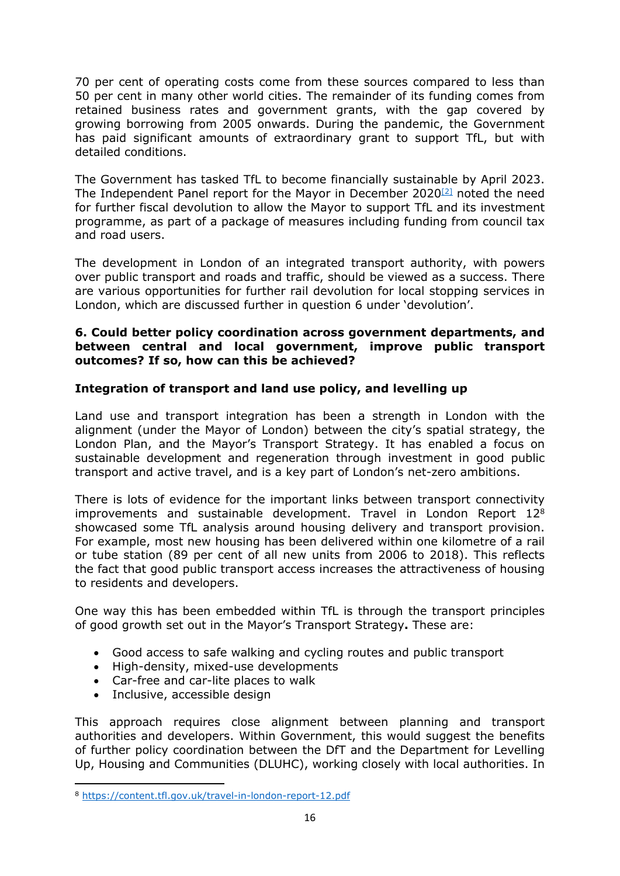70 per cent of operating costs come from these sources compared to less than 50 per cent in many other world cities. The remainder of its funding comes from retained business rates and government grants, with the gap covered by growing borrowing from 2005 onwards. During the pandemic, the Government has paid significant amounts of extraordinary grant to support TfL, but with detailed conditions.

The Government has tasked TfL to become financially sustainable by April 2023. The Independent Panel report for the Mayor in December 2020[\[2\]](https://ukc-word-edit.officeapps.live.com/we/wordeditorframe.aspx?ui=en-GB&rs=en-US&wopisrc=https%3A%2F%2Ftransportforlondon.sharepoint.com%2Fsites%2FGovernmentRelations%2F_vti_bin%2Fwopi.ashx%2Ffiles%2F171cf2d21fba482c805a9496b9c6a9ef&wdlor=c1D032EE9-0BCC-40D9-8824-809A2C1A9260&wdenableroaming=1&mscc=1&hid=8B7FB72C-4005-4993-80B3-2D32E9499F1A&wdorigin=Outlook-Body&wdhostclicktime=1646835599946&jsapi=1&jsapiver=v1&newsession=1&corrid=fe704ddd-308e-47b0-b1d6-b6ddafa39d0b&usid=fe704ddd-308e-47b0-b1d6-b6ddafa39d0b&sftc=1&mtf=1&sfp=1&instantedit=1&wopicomplete=1&wdredirectionreason=Unified_SingleFlush&rct=Medium&ctp=LeastProtected#_ftn2) noted the need for further fiscal devolution to allow the Mayor to support TfL and its investment programme, as part of a package of measures including funding from council tax and road users.

The development in London of an integrated transport authority, with powers over public transport and roads and traffic, should be viewed as a success. There are various opportunities for further rail devolution for local stopping services in London, which are discussed further in question 6 under 'devolution'.

### **6. Could better policy coordination across government departments, and between central and local government, improve public transport outcomes? If so, how can this be achieved?**

# **Integration of transport and land use policy, and levelling up**

Land use and transport integration has been a strength in London with the alignment (under the Mayor of London) between the city's spatial strategy, the London Plan, and the Mayor's Transport Strategy. It has enabled a focus on sustainable development and regeneration through investment in good public transport and active travel, and is a key part of London's net-zero ambitions.

There is lots of evidence for the important links between transport connectivity improvements and sustainable development. Travel in London Report 12<sup>8</sup> showcased some TfL analysis around housing delivery and transport provision. For example, most new housing has been delivered within one kilometre of a rail or tube station (89 per cent of all new units from 2006 to 2018). This reflects the fact that good public transport access increases the attractiveness of housing to residents and developers.

One way this has been embedded within TfL is through the transport principles of good growth set out in the Mayor's Transport Strategy**.** These are:

- Good access to safe walking and cycling routes and public transport
- High-density, mixed-use developments
- Car-free and car-lite places to walk
- Inclusive, accessible design

This approach requires close alignment between planning and transport authorities and developers. Within Government, this would suggest the benefits of further policy coordination between the DfT and the Department for Levelling Up, Housing and Communities (DLUHC), working closely with local authorities. In

<sup>8</sup> <https://content.tfl.gov.uk/travel-in-london-report-12.pdf>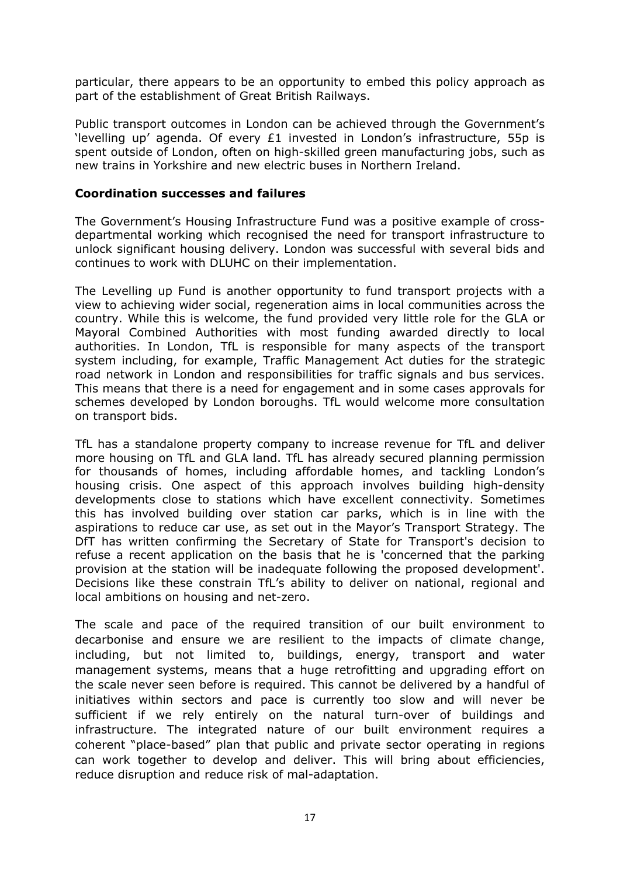particular, there appears to be an opportunity to embed this policy approach as part of the establishment of Great British Railways.

Public transport outcomes in London can be achieved through the Government's 'levelling up' agenda. Of every £1 invested in London's infrastructure, 55p is spent outside of London, often on high-skilled green manufacturing jobs, such as new trains in Yorkshire and new electric buses in Northern Ireland.

### **Coordination successes and failures**

The Government's Housing Infrastructure Fund was a positive example of crossdepartmental working which recognised the need for transport infrastructure to unlock significant housing delivery. London was successful with several bids and continues to work with DLUHC on their implementation.

The Levelling up Fund is another opportunity to fund transport projects with a view to achieving wider social, regeneration aims in local communities across the country. While this is welcome, the fund provided very little role for the GLA or Mayoral Combined Authorities with most funding awarded directly to local authorities. In London, TfL is responsible for many aspects of the transport system including, for example, Traffic Management Act duties for the strategic road network in London and responsibilities for traffic signals and bus services. This means that there is a need for engagement and in some cases approvals for schemes developed by London boroughs. TfL would welcome more consultation on transport bids.

TfL has a standalone property company to increase revenue for TfL and deliver more housing on TfL and GLA land. TfL has already secured planning permission for thousands of homes, including affordable homes, and tackling London's housing crisis. One aspect of this approach involves building high-density developments close to stations which have excellent connectivity. Sometimes this has involved building over station car parks, which is in line with the aspirations to reduce car use, as set out in the Mayor's Transport Strategy. The DfT has written confirming the Secretary of State for Transport's decision to refuse a recent application on the basis that he is 'concerned that the parking provision at the station will be inadequate following the proposed development'. Decisions like these constrain TfL's ability to deliver on national, regional and local ambitions on housing and net-zero.

The scale and pace of the required transition of our built environment to decarbonise and ensure we are resilient to the impacts of climate change, including, but not limited to, buildings, energy, transport and water management systems, means that a huge retrofitting and upgrading effort on the scale never seen before is required. This cannot be delivered by a handful of initiatives within sectors and pace is currently too slow and will never be sufficient if we rely entirely on the natural turn-over of buildings and infrastructure. The integrated nature of our built environment requires a coherent "place-based" plan that public and private sector operating in regions can work together to develop and deliver. This will bring about efficiencies, reduce disruption and reduce risk of mal-adaptation.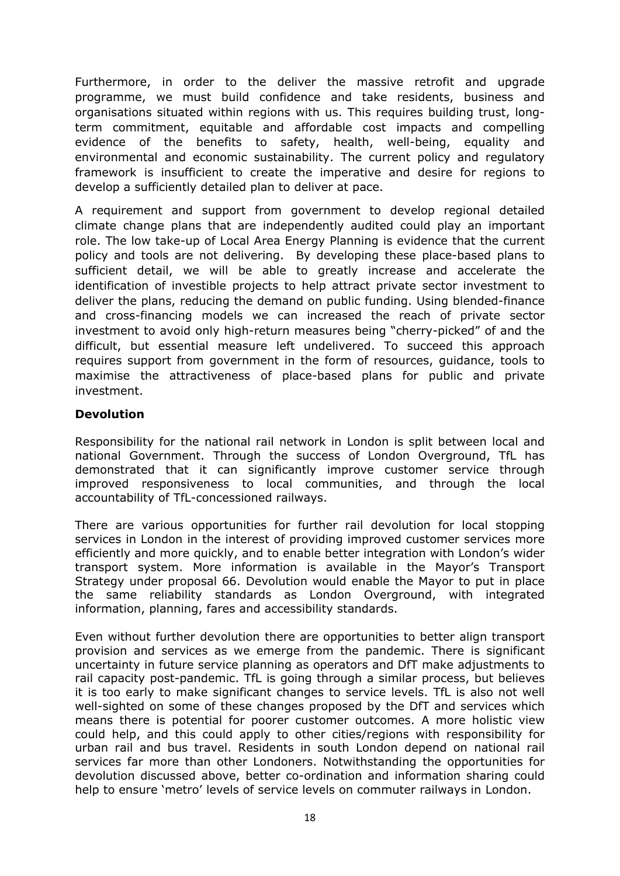Furthermore, in order to the deliver the massive retrofit and upgrade programme, we must build confidence and take residents, business and organisations situated within regions with us. This requires building trust, longterm commitment, equitable and affordable cost impacts and compelling evidence of the benefits to safety, health, well-being, equality and environmental and economic sustainability. The current policy and regulatory framework is insufficient to create the imperative and desire for regions to develop a sufficiently detailed plan to deliver at pace.

A requirement and support from government to develop regional detailed climate change plans that are independently audited could play an important role. The low take-up of Local Area Energy Planning is evidence that the current policy and tools are not delivering. By developing these place-based plans to sufficient detail, we will be able to greatly increase and accelerate the identification of investible projects to help attract private sector investment to deliver the plans, reducing the demand on public funding. Using blended-finance and cross-financing models we can increased the reach of private sector investment to avoid only high-return measures being "cherry-picked" of and the difficult, but essential measure left undelivered. To succeed this approach requires support from government in the form of resources, guidance, tools to maximise the attractiveness of place-based plans for public and private investment.

# **Devolution**

Responsibility for the national rail network in London is split between local and national Government. Through the success of London Overground, TfL has demonstrated that it can significantly improve customer service through improved responsiveness to local communities, and through the local accountability of TfL-concessioned railways.

There are various opportunities for further rail devolution for local stopping services in London in the interest of providing improved customer services more efficiently and more quickly, and to enable better integration with London's wider transport system. More information is available in the Mayor's Transport Strategy under proposal 66. Devolution would enable the Mayor to put in place the same reliability standards as London Overground, with integrated information, planning, fares and accessibility standards.

Even without further devolution there are opportunities to better align transport provision and services as we emerge from the pandemic. There is significant uncertainty in future service planning as operators and DfT make adjustments to rail capacity post-pandemic. TfL is going through a similar process, but believes it is too early to make significant changes to service levels. TfL is also not well well-sighted on some of these changes proposed by the DfT and services which means there is potential for poorer customer outcomes. A more holistic view could help, and this could apply to other cities/regions with responsibility for urban rail and bus travel. Residents in south London depend on national rail services far more than other Londoners. Notwithstanding the opportunities for devolution discussed above, better co-ordination and information sharing could help to ensure 'metro' levels of service levels on commuter railways in London.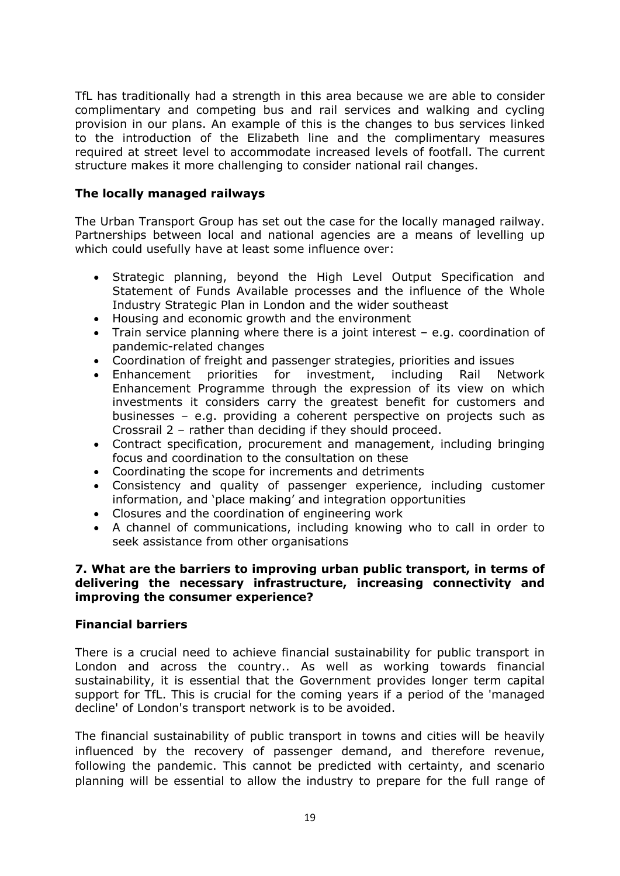TfL has traditionally had a strength in this area because we are able to consider complimentary and competing bus and rail services and walking and cycling provision in our plans. An example of this is the changes to bus services linked to the introduction of the Elizabeth line and the complimentary measures required at street level to accommodate increased levels of footfall. The current structure makes it more challenging to consider national rail changes.

# **The locally managed railways**

The Urban Transport Group has set out the case for the locally managed railway. Partnerships between local and national agencies are a means of levelling up which could usefully have at least some influence over:

- Strategic planning, beyond the High Level Output Specification and Statement of Funds Available processes and the influence of the Whole Industry Strategic Plan in London and the wider southeast
- Housing and economic growth and the environment
- Train service planning where there is a joint interest e.g. coordination of pandemic-related changes
- Coordination of freight and passenger strategies, priorities and issues
- Enhancement priorities for investment, including Rail Network Enhancement Programme through the expression of its view on which investments it considers carry the greatest benefit for customers and businesses – e.g. providing a coherent perspective on projects such as Crossrail 2 – rather than deciding if they should proceed.
- Contract specification, procurement and management, including bringing focus and coordination to the consultation on these
- Coordinating the scope for increments and detriments
- Consistency and quality of passenger experience, including customer information, and 'place making' and integration opportunities
- Closures and the coordination of engineering work
- A channel of communications, including knowing who to call in order to seek assistance from other organisations

### **7. What are the barriers to improving urban public transport, in terms of delivering the necessary infrastructure, increasing connectivity and improving the consumer experience?**

# **Financial barriers**

There is a crucial need to achieve financial sustainability for public transport in London and across the country.. As well as working towards financial sustainability, it is essential that the Government provides longer term capital support for TfL. This is crucial for the coming years if a period of the 'managed decline' of London's transport network is to be avoided.

The financial sustainability of public transport in towns and cities will be heavily influenced by the recovery of passenger demand, and therefore revenue, following the pandemic. This cannot be predicted with certainty, and scenario planning will be essential to allow the industry to prepare for the full range of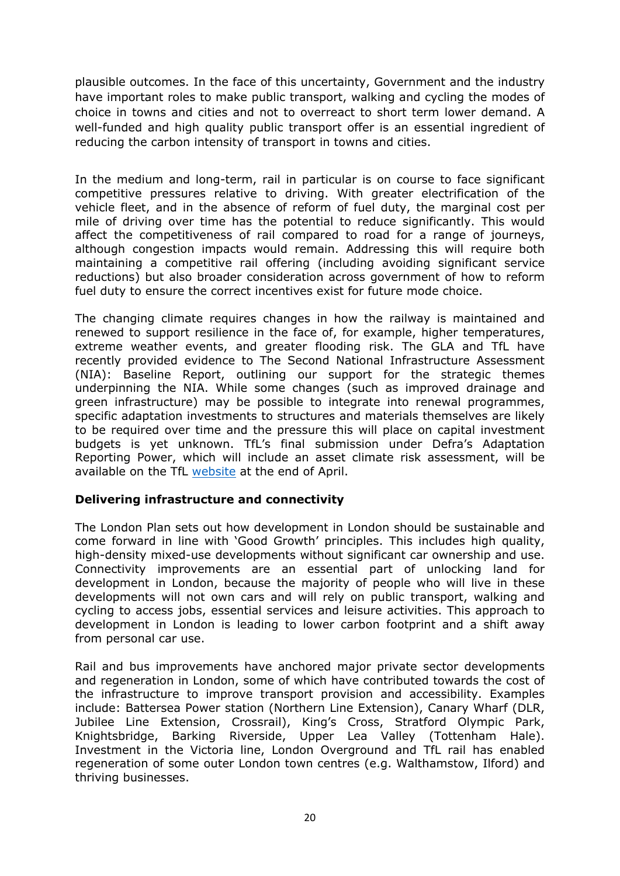plausible outcomes. In the face of this uncertainty, Government and the industry have important roles to make public transport, walking and cycling the modes of choice in towns and cities and not to overreact to short term lower demand. A well-funded and high quality public transport offer is an essential ingredient of reducing the carbon intensity of transport in towns and cities.

In the medium and long-term, rail in particular is on course to face significant competitive pressures relative to driving. With greater electrification of the vehicle fleet, and in the absence of reform of fuel duty, the marginal cost per mile of driving over time has the potential to reduce significantly. This would affect the competitiveness of rail compared to road for a range of journeys, although congestion impacts would remain. Addressing this will require both maintaining a competitive rail offering (including avoiding significant service reductions) but also broader consideration across government of how to reform fuel duty to ensure the correct incentives exist for future mode choice.

The changing climate requires changes in how the railway is maintained and renewed to support resilience in the face of, for example, higher temperatures, extreme weather events, and greater flooding risk. The GLA and TfL have recently provided evidence to The Second National Infrastructure Assessment (NIA): Baseline Report, outlining our support for the strategic themes underpinning the NIA. While some changes (such as improved drainage and green infrastructure) may be possible to integrate into renewal programmes, specific adaptation investments to structures and materials themselves are likely to be required over time and the pressure this will place on capital investment budgets is yet unknown. TfL's final submission under Defra's Adaptation Reporting Power, which will include an asset climate risk assessment, will be available on the TfL [website](https://tfl.gov.uk/corporate/about-tfl/sustainability) at the end of April.

# **Delivering infrastructure and connectivity**

The London Plan sets out how development in London should be sustainable and come forward in line with 'Good Growth' principles. This includes high quality, high-density mixed-use developments without significant car ownership and use. Connectivity improvements are an essential part of unlocking land for development in London, because the majority of people who will live in these developments will not own cars and will rely on public transport, walking and cycling to access jobs, essential services and leisure activities. This approach to development in London is leading to lower carbon footprint and a shift away from personal car use.

Rail and bus improvements have anchored major private sector developments and regeneration in London, some of which have contributed towards the cost of the infrastructure to improve transport provision and accessibility. Examples include: Battersea Power station (Northern Line Extension), Canary Wharf (DLR, Jubilee Line Extension, Crossrail), King's Cross, Stratford Olympic Park, Knightsbridge, Barking Riverside, Upper Lea Valley (Tottenham Hale). Investment in the Victoria line, London Overground and TfL rail has enabled regeneration of some outer London town centres (e.g. Walthamstow, Ilford) and thriving businesses.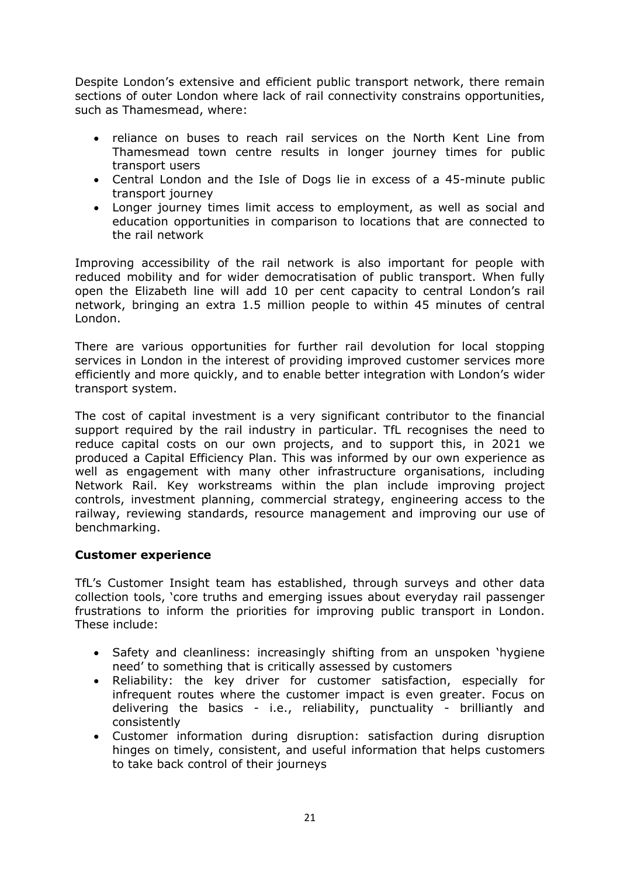Despite London's extensive and efficient public transport network, there remain sections of outer London where lack of rail connectivity constrains opportunities, such as Thamesmead, where:

- reliance on buses to reach rail services on the North Kent Line from Thamesmead town centre results in longer journey times for public transport users
- Central London and the Isle of Dogs lie in excess of a 45-minute public transport journey
- Longer journey times limit access to employment, as well as social and education opportunities in comparison to locations that are connected to the rail network

Improving accessibility of the rail network is also important for people with reduced mobility and for wider democratisation of public transport. When fully open the Elizabeth line will add 10 per cent capacity to central London's rail network, bringing an extra 1.5 million people to within 45 minutes of central London.

There are various opportunities for further rail devolution for local stopping services in London in the interest of providing improved customer services more efficiently and more quickly, and to enable better integration with London's wider transport system.

The cost of capital investment is a very significant contributor to the financial support required by the rail industry in particular. TfL recognises the need to reduce capital costs on our own projects, and to support this, in 2021 we produced a Capital Efficiency Plan. This was informed by our own experience as well as engagement with many other infrastructure organisations, including Network Rail. Key workstreams within the plan include improving project controls, investment planning, commercial strategy, engineering access to the railway, reviewing standards, resource management and improving our use of benchmarking.

# **Customer experience**

TfL's Customer Insight team has established, through surveys and other data collection tools, 'core truths and emerging issues about everyday rail passenger frustrations to inform the priorities for improving public transport in London. These include:

- Safety and cleanliness: increasingly shifting from an unspoken 'hygiene need' to something that is critically assessed by customers
- Reliability: the key driver for customer satisfaction, especially for infrequent routes where the customer impact is even greater. Focus on delivering the basics - i.e., reliability, punctuality - brilliantly and consistently
- Customer information during disruption: satisfaction during disruption hinges on timely, consistent, and useful information that helps customers to take back control of their journeys